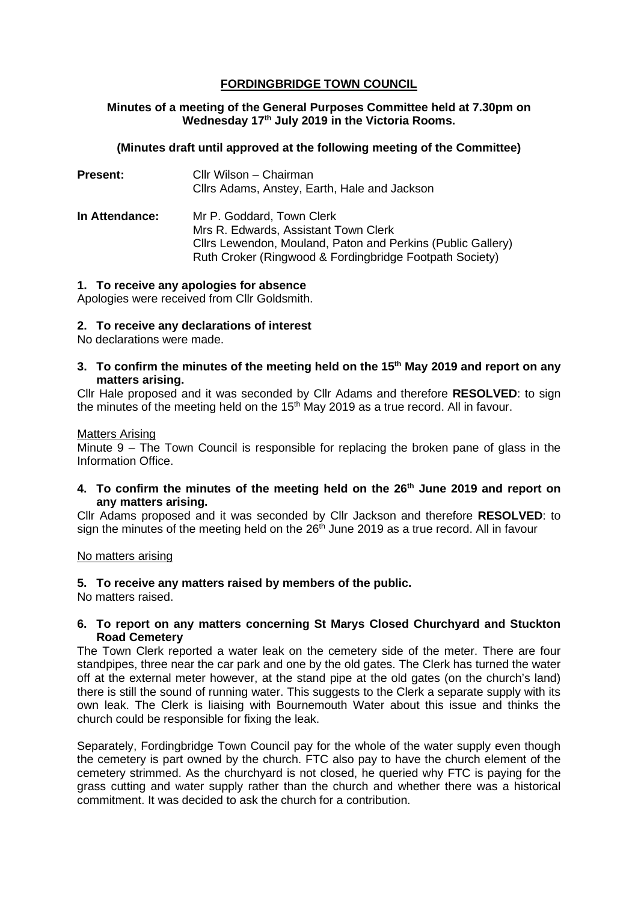## **FORDINGBRIDGE TOWN COUNCIL**

## **Minutes of a meeting of the General Purposes Committee held at 7.30pm on Wednesday 17th July 2019 in the Victoria Rooms.**

## **(Minutes draft until approved at the following meeting of the Committee)**

| <b>Present:</b>       | Cllr Wilson - Chairman<br>Cllrs Adams, Anstey, Earth, Hale and Jackson                                                                                                                      |
|-----------------------|---------------------------------------------------------------------------------------------------------------------------------------------------------------------------------------------|
| <b>In Attendance:</b> | Mr P. Goddard, Town Clerk<br>Mrs R. Edwards, Assistant Town Clerk<br>Cllrs Lewendon, Mouland, Paton and Perkins (Public Gallery)<br>Ruth Croker (Ringwood & Fordingbridge Footpath Society) |

### **1. To receive any apologies for absence**

Apologies were received from Cllr Goldsmith.

### **2. To receive any declarations of interest**

No declarations were made.

### **3. To confirm the minutes of the meeting held on the 15th May 2019 and report on any matters arising.**

Cllr Hale proposed and it was seconded by Cllr Adams and therefore **RESOLVED**: to sign the minutes of the meeting held on the  $15<sup>th</sup>$  May 2019 as a true record. All in favour.

#### Matters Arising

Minute 9 – The Town Council is responsible for replacing the broken pane of glass in the Information Office.

**4. To confirm the minutes of the meeting held on the 26th June 2019 and report on any matters arising.**

Cllr Adams proposed and it was seconded by Cllr Jackson and therefore **RESOLVED**: to sign the minutes of the meeting held on the  $26<sup>th</sup>$  June 2019 as a true record. All in favour

#### No matters arising

## **5. To receive any matters raised by members of the public.**

No matters raised.

### **6. To report on any matters concerning St Marys Closed Churchyard and Stuckton Road Cemetery**

The Town Clerk reported a water leak on the cemetery side of the meter. There are four standpipes, three near the car park and one by the old gates. The Clerk has turned the water off at the external meter however, at the stand pipe at the old gates (on the church's land) there is still the sound of running water. This suggests to the Clerk a separate supply with its own leak. The Clerk is liaising with Bournemouth Water about this issue and thinks the church could be responsible for fixing the leak.

Separately, Fordingbridge Town Council pay for the whole of the water supply even though the cemetery is part owned by the church. FTC also pay to have the church element of the cemetery strimmed. As the churchyard is not closed, he queried why FTC is paying for the grass cutting and water supply rather than the church and whether there was a historical commitment. It was decided to ask the church for a contribution.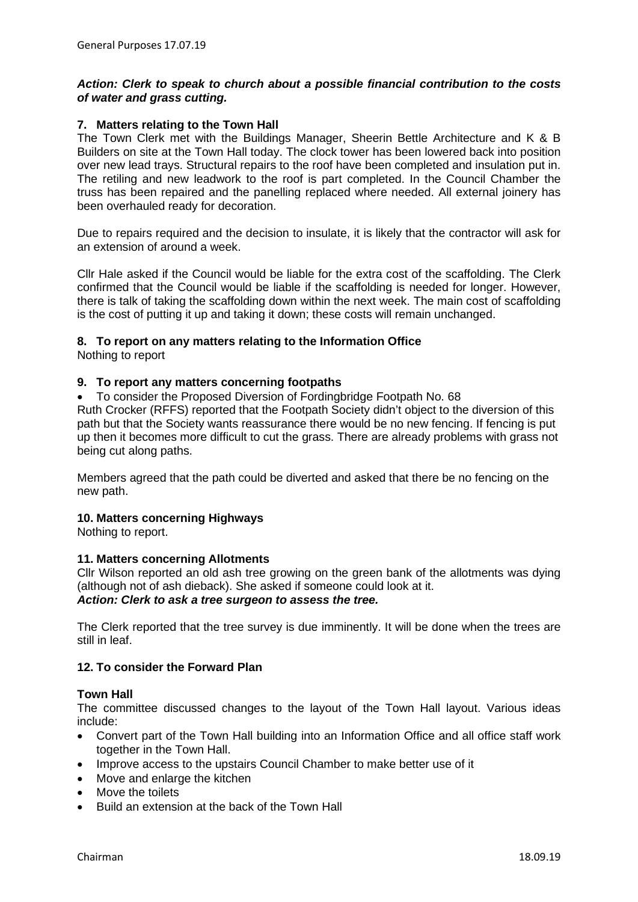## *Action: Clerk to speak to church about a possible financial contribution to the costs of water and grass cutting.*

#### **7. Matters relating to the Town Hall**

The Town Clerk met with the Buildings Manager, Sheerin Bettle Architecture and K & B Builders on site at the Town Hall today. The clock tower has been lowered back into position over new lead trays. Structural repairs to the roof have been completed and insulation put in. The retiling and new leadwork to the roof is part completed. In the Council Chamber the truss has been repaired and the panelling replaced where needed. All external joinery has been overhauled ready for decoration.

Due to repairs required and the decision to insulate, it is likely that the contractor will ask for an extension of around a week.

Cllr Hale asked if the Council would be liable for the extra cost of the scaffolding. The Clerk confirmed that the Council would be liable if the scaffolding is needed for longer. However, there is talk of taking the scaffolding down within the next week. The main cost of scaffolding is the cost of putting it up and taking it down; these costs will remain unchanged.

## **8. To report on any matters relating to the Information Office**

Nothing to report

### **9. To report any matters concerning footpaths**

• To consider the Proposed Diversion of Fordingbridge Footpath No. 68

Ruth Crocker (RFFS) reported that the Footpath Society didn't object to the diversion of this path but that the Society wants reassurance there would be no new fencing. If fencing is put up then it becomes more difficult to cut the grass. There are already problems with grass not being cut along paths.

Members agreed that the path could be diverted and asked that there be no fencing on the new path.

#### **10. Matters concerning Highways**

Nothing to report.

#### **11. Matters concerning Allotments**

Cllr Wilson reported an old ash tree growing on the green bank of the allotments was dying (although not of ash dieback). She asked if someone could look at it. *Action: Clerk to ask a tree surgeon to assess the tree.*

The Clerk reported that the tree survey is due imminently. It will be done when the trees are still in leaf.

## **12. To consider the Forward Plan**

#### **Town Hall**

The committee discussed changes to the layout of the Town Hall layout. Various ideas include:

- Convert part of the Town Hall building into an Information Office and all office staff work together in the Town Hall.
- Improve access to the upstairs Council Chamber to make better use of it
- Move and enlarge the kitchen
- Move the toilets
- Build an extension at the back of the Town Hall